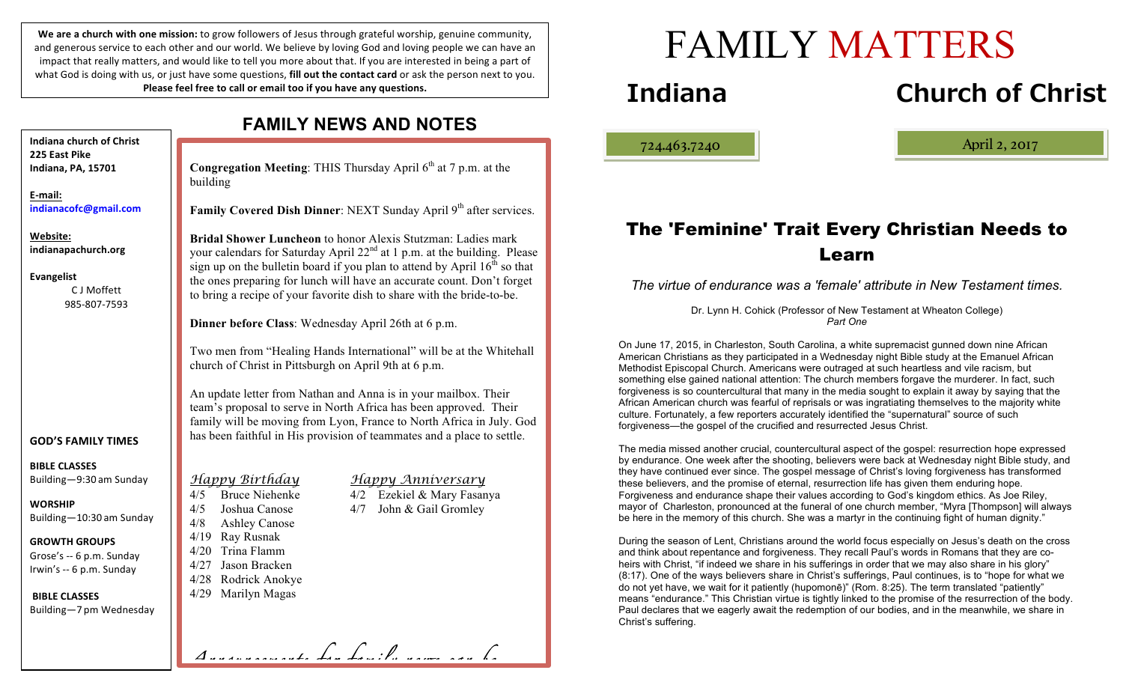We are a church with one mission: to grow followers of Jesus through grateful worship, genuine community, and generous service to each other and our world. We believe by loving God and loving people we can have an impact that really matters, and would like to tell you more about that. If you are interested in being a part of what God is doing with us, or just have some questions, **fill out the contact card** or ask the person next to you. **Please feel free to call or email too if you have any questions.** 

**FAMILY NEWS AND NOTES Congregation Meeting:** THIS Thursday April 6<sup>th</sup> at 7 p.m. at the building **Family Covered Dish Dinner**: NEXT Sunday April 9<sup>th</sup> after services. **Bridal Shower Luncheon** to honor Alexis Stutzman: Ladies mark your calendars for Saturday April  $22<sup>nd</sup>$  at 1 p.m. at the building. Please sign up on the bulletin board if you plan to attend by April  $16<sup>th</sup>$  so that the ones preparing for lunch will have an accurate count. Don't forget to bring a recipe of your favorite dish to share with the bride-to-be. **Dinner before Class**: Wednesday April 26th at 6 p.m. Two men from "Healing Hands International" will be at the Whitehall church of Christ in Pittsburgh on April 9th at 6 p.m. An update letter from Nathan and Anna is in your mailbox. Their team's proposal to serve in North Africa has been approved. Their family will be moving from Lyon, France to North Africa in July. God has been faithful in His provision of teammates and a place to settle. *Happy Birthday Happy Anniversary* 4/5 Bruce Niehenke 4/2 Ezekiel & Mary Fasanya 4/5 Joshua Canose 4/7 John & Gail Gromley 4/8 Ashley Canose 4/19 Ray Rusnak 4/20 Trina Flamm 4/27 Jason Bracken 4/28 Rodrick Anokye 4/29 Marilyn Magas **Indiana church of Christ 225 East Pike Indiana, PA, 15701 E-mail: indianacofc@gmail.com Website: indianapachurch.org Evangelist** C J Moffett 985-807-7593 **GOD'S FAMILY TIMES BIBLE CLASSES** Building—9:30 am Sunday **WORSHIP** Building—10:30 am Sunday **GROWTH GROUPS** Grose's -- 6 p.m. Sunday Irwin's -- 6 p.m. Sunday **BIBLE CLASSES** Building—7 pm Wednesday

*Announcements for family news can be* 

# FAMILY MATTERS

# **Indiana Church of Christ**

ļ

724.463.7240 April 2, 2017

# The 'Feminine' Trait Every Christian Needs to Learn

*The virtue of endurance was a 'female' attribute in New Testament times.*

Dr. Lynn H. Cohick (Professor of New Testament at Wheaton College) *Part One*

On June 17, 2015, in Charleston, South Carolina, a white supremacist gunned down nine African American Christians as they participated in a Wednesday night Bible study at the Emanuel African Methodist Episcopal Church. Americans were outraged at such heartless and vile racism, but something else gained national attention: The church members forgave the murderer. In fact, such forgiveness is so countercultural that many in the media sought to explain it away by saying that the African American church was fearful of reprisals or was ingratiating themselves to the majority white culture. Fortunately, a few reporters accurately identified the "supernatural" source of such forgiveness—the gospel of the crucified and resurrected Jesus Christ.

The media missed another crucial, countercultural aspect of the gospel: resurrection hope expressed by endurance. One week after the shooting, believers were back at Wednesday night Bible study, and they have continued ever since. The gospel message of Christ's loving forgiveness has transformed these believers, and the promise of eternal, resurrection life has given them enduring hope. Forgiveness and endurance shape their values according to God's kingdom ethics. As Joe Riley, mayor of Charleston, pronounced at the funeral of one church member, "Myra [Thompson] will always be here in the memory of this church. She was a martyr in the continuing fight of human dignity."

During the season of Lent, Christians around the world focus especially on Jesus's death on the cross and think about repentance and forgiveness. They recall Paul's words in Romans that they are coheirs with Christ, "if indeed we share in his sufferings in order that we may also share in his glory" (8:17). One of the ways believers share in Christ's sufferings, Paul continues, is to "hope for what we do not yet have, we wait for it patiently (hupomonē)" (Rom. 8:25). The term translated "patiently" means "endurance." This Christian virtue is tightly linked to the promise of the resurrection of the body. Paul declares that we eagerly await the redemption of our bodies, and in the meanwhile, we share in Christ's suffering.